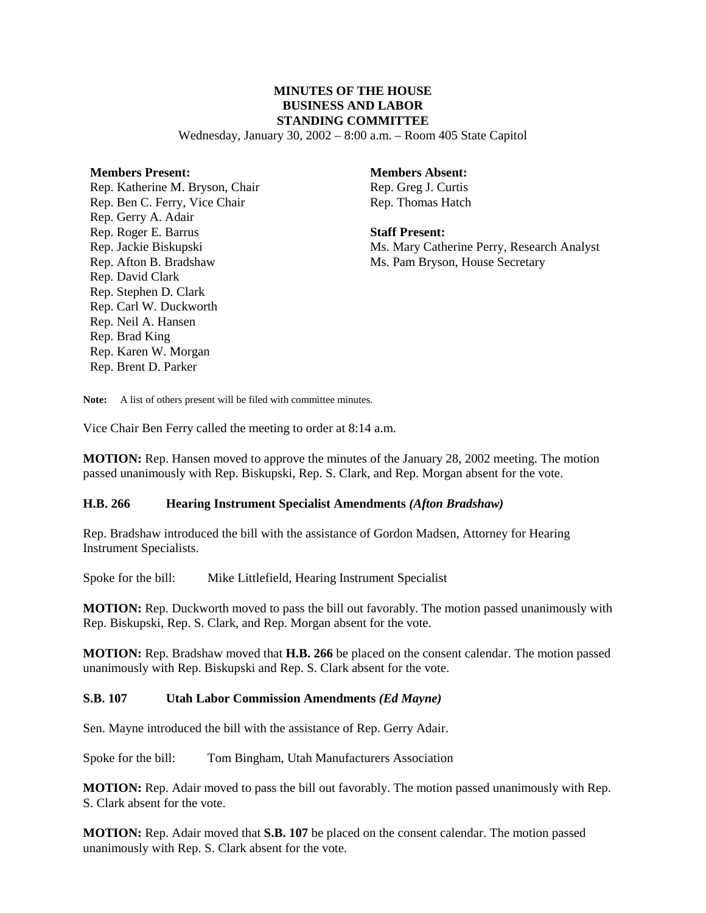# **MINUTES OF THE HOUSE BUSINESS AND LABOR STANDING COMMITTEE**

Wednesday, January 30, 2002 – 8:00 a.m. – Room 405 State Capitol

#### **Members Present:**

Rep. Katherine M. Bryson, Chair Rep. Ben C. Ferry, Vice Chair Rep. Gerry A. Adair Rep. Roger E. Barrus Rep. Jackie Biskupski Rep. Afton B. Bradshaw Rep. David Clark Rep. Stephen D. Clark Rep. Carl W. Duckworth Rep. Neil A. Hansen Rep. Brad King Rep. Karen W. Morgan Rep. Brent D. Parker

# **Members Absent:**

Rep. Greg J. Curtis Rep. Thomas Hatch

**Staff Present:** Ms. Mary Catherine Perry, Research Analyst Ms. Pam Bryson, House Secretary

Note: A list of others present will be filed with committee minutes.

Vice Chair Ben Ferry called the meeting to order at 8:14 a.m.

**MOTION:** Rep. Hansen moved to approve the minutes of the January 28, 2002 meeting. The motion passed unanimously with Rep. Biskupski, Rep. S. Clark, and Rep. Morgan absent for the vote.

#### **H.B. 266 Hearing Instrument Specialist Amendments** *(Afton Bradshaw)*

Rep. Bradshaw introduced the bill with the assistance of Gordon Madsen, Attorney for Hearing Instrument Specialists.

Spoke for the bill: Mike Littlefield, Hearing Instrument Specialist

**MOTION:** Rep. Duckworth moved to pass the bill out favorably. The motion passed unanimously with Rep. Biskupski, Rep. S. Clark, and Rep. Morgan absent for the vote.

**MOTION:** Rep. Bradshaw moved that **H.B. 266** be placed on the consent calendar. The motion passed unanimously with Rep. Biskupski and Rep. S. Clark absent for the vote.

#### **S.B. 107 Utah Labor Commission Amendments** *(Ed Mayne)*

Sen. Mayne introduced the bill with the assistance of Rep. Gerry Adair.

Spoke for the bill: Tom Bingham, Utah Manufacturers Association

**MOTION:** Rep. Adair moved to pass the bill out favorably. The motion passed unanimously with Rep. S. Clark absent for the vote.

**MOTION:** Rep. Adair moved that **S.B. 107** be placed on the consent calendar. The motion passed unanimously with Rep. S. Clark absent for the vote.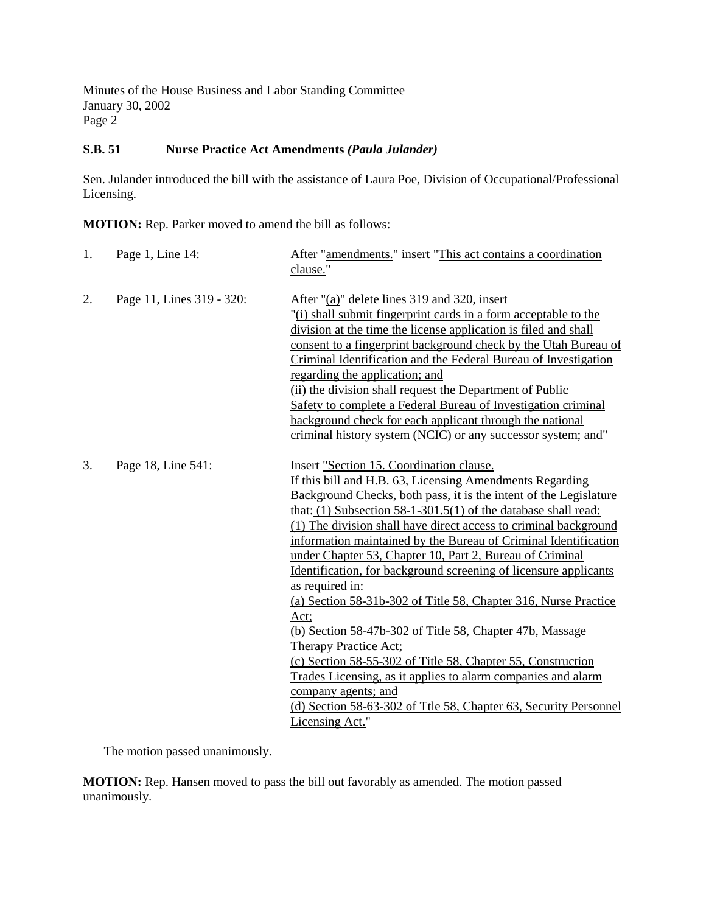Minutes of the House Business and Labor Standing Committee January 30, 2002 Page 2

### **S.B. 51 Nurse Practice Act Amendments** *(Paula Julander)*

Sen. Julander introduced the bill with the assistance of Laura Poe, Division of Occupational/Professional Licensing.

**MOTION:** Rep. Parker moved to amend the bill as follows:

| 1. | Page 1, Line 14:          | After "amendments." insert "This act contains a coordination<br>clause."                                                                                                                                                                                                                                                                                                                                                                                                                                                                                                                                                                                                                                                                                                                                                                                                                                                                                    |
|----|---------------------------|-------------------------------------------------------------------------------------------------------------------------------------------------------------------------------------------------------------------------------------------------------------------------------------------------------------------------------------------------------------------------------------------------------------------------------------------------------------------------------------------------------------------------------------------------------------------------------------------------------------------------------------------------------------------------------------------------------------------------------------------------------------------------------------------------------------------------------------------------------------------------------------------------------------------------------------------------------------|
| 2. | Page 11, Lines 319 - 320: | After "(a)" delete lines 319 and 320, insert<br>"(i) shall submit fingerprint cards in a form acceptable to the<br>division at the time the license application is filed and shall<br>consent to a fingerprint background check by the Utah Bureau of<br>Criminal Identification and the Federal Bureau of Investigation<br>regarding the application; and<br>(ii) the division shall request the Department of Public<br>Safety to complete a Federal Bureau of Investigation criminal<br>background check for each applicant through the national<br>criminal history system (NCIC) or any successor system; and"                                                                                                                                                                                                                                                                                                                                         |
| 3. | Page 18, Line 541:        | Insert "Section 15. Coordination clause.<br>If this bill and H.B. 63, Licensing Amendments Regarding<br>Background Checks, both pass, it is the intent of the Legislature<br>that: $(1)$ Subsection 58-1-301.5(1) of the database shall read:<br>(1) The division shall have direct access to criminal background<br>information maintained by the Bureau of Criminal Identification<br>under Chapter 53, Chapter 10, Part 2, Bureau of Criminal<br>Identification, for background screening of licensure applicants<br>as required in:<br>(a) Section 58-31b-302 of Title 58, Chapter 316, Nurse Practice<br>Act;<br>(b) Section 58-47b-302 of Title 58, Chapter 47b, Massage<br><b>Therapy Practice Act:</b><br>(c) Section 58-55-302 of Title 58, Chapter 55, Construction<br>Trades Licensing, as it applies to alarm companies and alarm<br>company agents; and<br>(d) Section 58-63-302 of Ttle 58, Chapter 63, Security Personnel<br>Licensing Act." |

The motion passed unanimously.

**MOTION:** Rep. Hansen moved to pass the bill out favorably as amended. The motion passed unanimously.